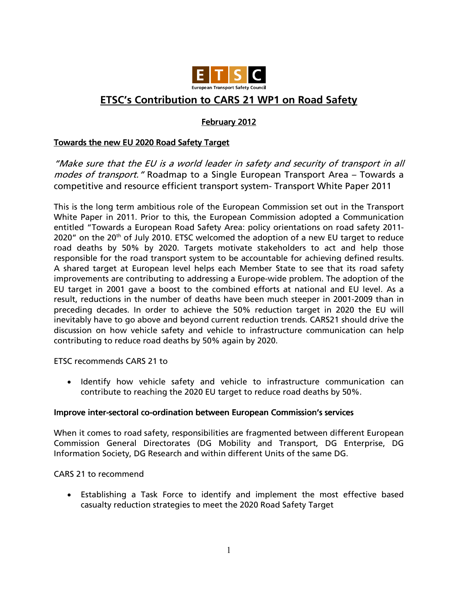

# **ETSC's Contribution to CARS 21 WP1 on Road Safety**

# February 2012

### Towards the new EU 2020 Road Safety Target

"Make sure that the EU is a world leader in safety and security of transport in all modes of transport." Roadmap to a Single European Transport Area – Towards a competitive and resource efficient transport system- Transport White Paper 2011

This is the long term ambitious role of the European Commission set out in the Transport White Paper in 2011. Prior to this, the European Commission adopted a Communication entitled "Towards a European Road Safety Area: policy orientations on road safety 2011- 2020" on the  $20<sup>th</sup>$  of July 2010. ETSC welcomed the adoption of a new EU target to reduce road deaths by 50% by 2020. Targets motivate stakeholders to act and help those responsible for the road transport system to be accountable for achieving defined results. A shared target at European level helps each Member State to see that its road safety improvements are contributing to addressing a Europe-wide problem. The adoption of the EU target in 2001 gave a boost to the combined efforts at national and EU level. As a result, reductions in the number of deaths have been much steeper in 2001-2009 than in preceding decades. In order to achieve the 50% reduction target in 2020 the EU will inevitably have to go above and beyond current reduction trends. CARS21 should drive the discussion on how vehicle safety and vehicle to infrastructure communication can help contributing to reduce road deaths by 50% again by 2020.

ETSC recommends CARS 21 to

• Identify how vehicle safety and vehicle to infrastructure communication can contribute to reaching the 2020 EU target to reduce road deaths by 50%.

#### Improve inter-sectoral co-ordination between European Commission's services between European Commission inter-

When it comes to road safety, responsibilities are fragmented between different European Commission General Directorates (DG Mobility and Transport, DG Enterprise, DG Information Society, DG Research and within different Units of the same DG.

#### CARS 21 to recommend

• Establishing a Task Force to identify and implement the most effective based casualty reduction strategies to meet the 2020 Road Safety Target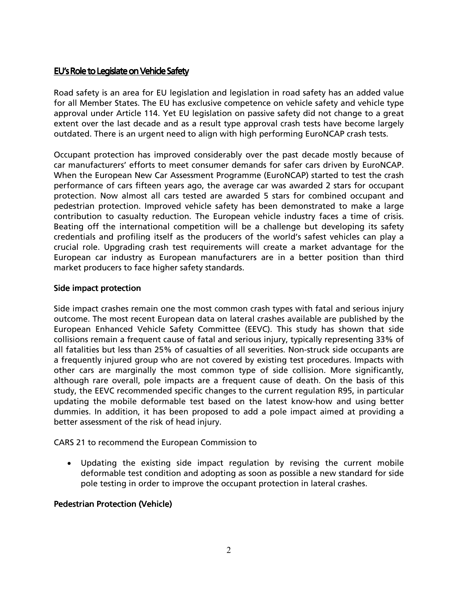# EU's Role to Legislate on Vehicle Safety

Road safety is an area for EU legislation and legislation in road safety has an added value for all Member States. The EU has exclusive competence on vehicle safety and vehicle type approval under Article 114. Yet EU legislation on passive safety did not change to a great extent over the last decade and as a result type approval crash tests have become largely outdated. There is an urgent need to align with high performing EuroNCAP crash tests.

Occupant protection has improved considerably over the past decade mostly because of car manufacturers' efforts to meet consumer demands for safer cars driven by EuroNCAP. When the European New Car Assessment Programme (EuroNCAP) started to test the crash performance of cars fifteen years ago, the average car was awarded 2 stars for occupant protection. Now almost all cars tested are awarded 5 stars for combined occupant and pedestrian protection. Improved vehicle safety has been demonstrated to make a large contribution to casualty reduction. The European vehicle industry faces a time of crisis. Beating off the international competition will be a challenge but developing its safety credentials and profiling itself as the producers of the world's safest vehicles can play a crucial role. Upgrading crash test requirements will create a market advantage for the European car industry as European manufacturers are in a better position than third market producers to face higher safety standards.

### Side impact protection

Side impact crashes remain one the most common crash types with fatal and serious injury outcome. The most recent European data on lateral crashes available are published by the European Enhanced Vehicle Safety Committee (EEVC). This study has shown that side collisions remain a frequent cause of fatal and serious injury, typically representing 33% of all fatalities but less than 25% of casualties of all severities. Non-struck side occupants are a frequently injured group who are not covered by existing test procedures. Impacts with other cars are marginally the most common type of side collision. More significantly, although rare overall, pole impacts are a frequent cause of death. On the basis of this study, the EEVC recommended specific changes to the current regulation R95, in particular updating the mobile deformable test based on the latest know-how and using better dummies. In addition, it has been proposed to add a pole impact aimed at providing a better assessment of the risk of head injury.

CARS 21 to recommend the European Commission to

• Updating the existing side impact regulation by revising the current mobile deformable test condition and adopting as soon as possible a new standard for side pole testing in order to improve the occupant protection in lateral crashes.

### Pedestrian Protection (Vehicle)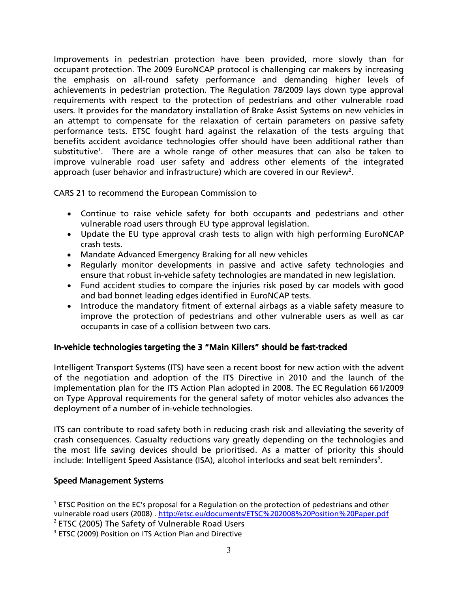Improvements in pedestrian protection have been provided, more slowly than for occupant protection. The 2009 EuroNCAP protocol is challenging car makers by increasing the emphasis on all-round safety performance and demanding higher levels of achievements in pedestrian protection. The Regulation 78/2009 lays down type approval requirements with respect to the protection of pedestrians and other vulnerable road users. It provides for the mandatory installation of Brake Assist Systems on new vehicles in an attempt to compensate for the relaxation of certain parameters on passive safety performance tests. ETSC fought hard against the relaxation of the tests arguing that benefits accident avoidance technologies offer should have been additional rather than substitutive<sup>1</sup>. There are a whole range of other measures that can also be taken to improve vulnerable road user safety and address other elements of the integrated approach (user behavior and infrastructure) which are covered in our Review<sup>2</sup>.

CARS 21 to recommend the European Commission to

- Continue to raise vehicle safety for both occupants and pedestrians and other vulnerable road users through EU type approval legislation.
- Update the EU type approval crash tests to align with high performing EuroNCAP crash tests.
- Mandate Advanced Emergency Braking for all new vehicles
- Regularly monitor developments in passive and active safety technologies and ensure that robust in-vehicle safety technologies are mandated in new legislation.
- Fund accident studies to compare the injuries risk posed by car models with good and bad bonnet leading edges identified in EuroNCAP tests.
- Introduce the mandatory fitment of external airbags as a viable safety measure to improve the protection of pedestrians and other vulnerable users as well as car occupants in case of a collision between two cars.

# In-vehicle technologies targeting the 3 "Main Killers" should be fast-tracked

Intelligent Transport Systems (ITS) have seen a recent boost for new action with the advent of the negotiation and adoption of the ITS Directive in 2010 and the launch of the implementation plan for the ITS Action Plan adopted in 2008. The EC Regulation 661/2009 on Type Approval requirements for the general safety of motor vehicles also advances the deployment of a number of in-vehicle technologies.

ITS can contribute to road safety both in reducing crash risk and alleviating the severity of crash consequences. Casualty reductions vary greatly depending on the technologies and the most life saving devices should be prioritised. As a matter of priority this should include: Intelligent Speed Assistance (ISA), alcohol interlocks and seat belt reminders<sup>3</sup>.

# Speed Management Systems

<sup>&</sup>lt;u>.</u> <sup>1</sup> ETSC Position on the EC's proposal for a Regulation on the protection of pedestrians and other vulnerable road users (2008) . http://etsc.eu/documents/ETSC%202008%20Position%20Paper.pdf

<sup>&</sup>lt;sup>2</sup> ETSC (2005) The Safety of Vulnerable Road Users

<sup>&</sup>lt;sup>3</sup> ETSC (2009) Position on ITS Action Plan and Directive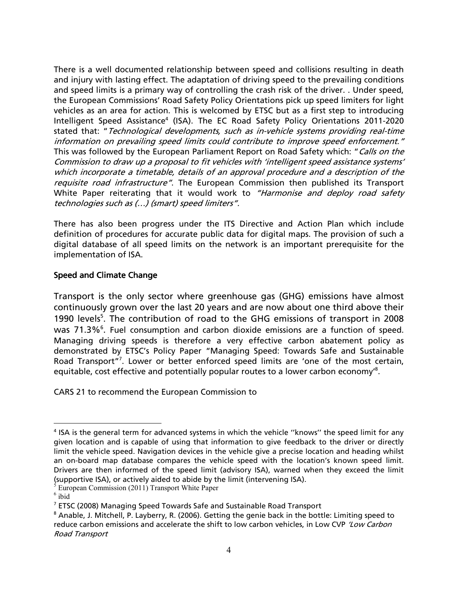There is a well documented relationship between speed and collisions resulting in death and injury with lasting effect. The adaptation of driving speed to the prevailing conditions and speed limits is a primary way of controlling the crash risk of the driver. . Under speed, the European Commissions' Road Safety Policy Orientations pick up speed limiters for light vehicles as an area for action. This is welcomed by ETSC but as a first step to introducing Intelligent Speed Assistance<sup>4</sup> (ISA). The EC Road Safety Policy Orientations 2011-2020 stated that: "Technological developments, such as in-vehicle systems providing real-time information on prevailing speed limits could contribute to improve speed enforcement." This was followed by the European Parliament Report on Road Safety which: "Calls on the Commission to draw up a proposal to fit vehicles with 'intelligent speed assistance systems' which incorporate a timetable, details of an approval procedure and a description of the requisite road infrastructure". The European Commission then published its Transport White Paper reiterating that it would work to "Harmonise and deploy road safety technologies such as (…) (smart) speed limiters".

There has also been progress under the ITS Directive and Action Plan which include definition of procedures for accurate public data for digital maps. The provision of such a digital database of all speed limits on the network is an important prerequisite for the implementation of ISA.

# Speed and Climate Change

Transport is the only sector where greenhouse gas (GHG) emissions have almost continuously grown over the last 20 years and are now about one third above their 1990 levels<sup>5</sup>. The contribution of road to the GHG emissions of transport in 2008 was 71.3%<sup>6</sup>. Fuel consumption and carbon dioxide emissions are a function of speed. Managing driving speeds is therefore a very effective carbon abatement policy as demonstrated by ETSC's Policy Paper "Managing Speed: Towards Safe and Sustainable Road Transport"<sup>7</sup>. Lower or better enforced speed limits are 'one of the most certain, equitable, cost effective and potentially popular routes to a lower carbon economy'<sup>8</sup>.

CARS 21 to recommend the European Commission to

5 European Commission (2011) Transport White Paper

<sup>-</sup><sup>4</sup> ISA is the general term for advanced systems in which the vehicle "knows" the speed limit for any given location and is capable of using that information to give feedback to the driver or directly limit the vehicle speed. Navigation devices in the vehicle give a precise location and heading whilst an on-board map database compares the vehicle speed with the location's known speed limit. Drivers are then informed of the speed limit (advisory ISA), warned when they exceed the limit (supportive ISA), or actively aided to abide by the limit (intervening ISA).

<sup>6</sup> ibid

 $<sup>7</sup>$  ETSC (2008) Managing Speed Towards Safe and Sustainable Road Transport</sup>

<sup>&</sup>lt;sup>8</sup> Anable, J. Mitchell, P. Layberry, R. (2006). Getting the genie back in the bottle: Limiting speed to reduce carbon emissions and accelerate the shift to low carbon vehicles, in Low CVP 'Low Carbon Road Transport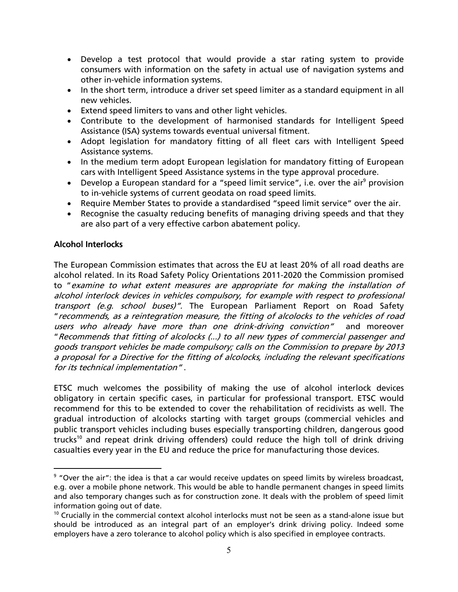- Develop a test protocol that would provide a star rating system to provide consumers with information on the safety in actual use of navigation systems and other in-vehicle information systems.
- In the short term, introduce a driver set speed limiter as a standard equipment in all new vehicles.
- Extend speed limiters to vans and other light vehicles.
- Contribute to the development of harmonised standards for Intelligent Speed Assistance (ISA) systems towards eventual universal fitment.
- Adopt legislation for mandatory fitting of all fleet cars with Intelligent Speed Assistance systems.
- In the medium term adopt European legislation for mandatory fitting of European cars with Intelligent Speed Assistance systems in the type approval procedure.
- Develop a European standard for a "speed limit service", i.e. over the air<sup>9</sup> provision to in-vehicle systems of current geodata on road speed limits.
- Require Member States to provide a standardised "speed limit service" over the air.
- Recognise the casualty reducing benefits of managing driving speeds and that they are also part of a very effective carbon abatement policy.

### Alcohol Interlocks Alcohol Interlocks

-

The European Commission estimates that across the EU at least 20% of all road deaths are alcohol related. In its Road Safety Policy Orientations 2011-2020 the Commission promised to "examine to what extent measures are appropriate for making the installation of alcohol interlock devices in vehicles compulsory, for example with respect to professional transport (e.g. school buses)". The European Parliament Report on Road Safety "recommends, as a reintegration measure, the fitting of alcolocks to the vehicles of road users who already have more than one drink-driving conviction" and moreover "Recommends that fitting of alcolocks (...) to all new types of commercial passenger and goods transport vehicles be made compulsory; calls on the Commission to prepare by 2013 a proposal for a Directive for the fitting of alcolocks, including the relevant specifications for its technical implementation" .

ETSC much welcomes the possibility of making the use of alcohol interlock devices obligatory in certain specific cases, in particular for professional transport. ETSC would recommend for this to be extended to cover the rehabilitation of recidivists as well. The gradual introduction of alcolocks starting with target groups (commercial vehicles and public transport vehicles including buses especially transporting children, dangerous good trucks<sup>10</sup> and repeat drink driving offenders) could reduce the high toll of drink driving casualties every year in the EU and reduce the price for manufacturing those devices.

<sup>&</sup>lt;sup>9</sup> "Over the air": the idea is that a car would receive updates on speed limits by wireless broadcast, e.g. over a mobile phone network. This would be able to handle permanent changes in speed limits and also temporary changes such as for construction zone. It deals with the problem of speed limit information going out of date.

<sup>&</sup>lt;sup>10</sup> Crucially in the commercial context alcohol interlocks must not be seen as a stand-alone issue but should be introduced as an integral part of an employer's drink driving policy. Indeed some employers have a zero tolerance to alcohol policy which is also specified in employee contracts.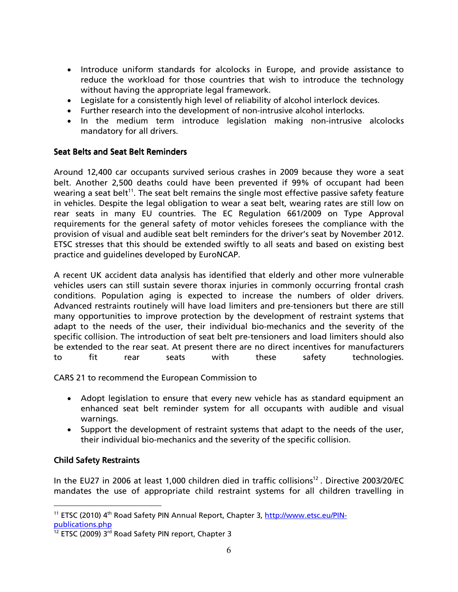- Introduce uniform standards for alcolocks in Europe, and provide assistance to reduce the workload for those countries that wish to introduce the technology without having the appropriate legal framework.
- Legislate for a consistently high level of reliability of alcohol interlock devices.
- Further research into the development of non-intrusive alcohol interlocks.
- In the medium term introduce legislation making non-intrusive alcolocks mandatory for all drivers.

### Seat Belts and Seat Belt Reminders

Around 12,400 car occupants survived serious crashes in 2009 because they wore a seat belt. Another 2,500 deaths could have been prevented if 99% of occupant had been wearing a seat belt<sup>11</sup>. The seat belt remains the single most effective passive safety feature in vehicles. Despite the legal obligation to wear a seat belt, wearing rates are still low on rear seats in many EU countries. The EC Regulation 661/2009 on Type Approval requirements for the general safety of motor vehicles foresees the compliance with the provision of visual and audible seat belt reminders for the driver's seat by November 2012. ETSC stresses that this should be extended swiftly to all seats and based on existing best practice and guidelines developed by EuroNCAP.

A recent UK accident data analysis has identified that elderly and other more vulnerable vehicles users can still sustain severe thorax injuries in commonly occurring frontal crash conditions. Population aging is expected to increase the numbers of older drivers. Advanced restraints routinely will have load limiters and pre-tensioners but there are still many opportunities to improve protection by the development of restraint systems that adapt to the needs of the user, their individual bio-mechanics and the severity of the specific collision. The introduction of seat belt pre-tensioners and load limiters should also be extended to the rear seat. At present there are no direct incentives for manufacturers to fit rear seats with these safety technologies.

CARS 21 to recommend the European Commission to

- Adopt legislation to ensure that every new vehicle has as standard equipment an enhanced seat belt reminder system for all occupants with audible and visual warnings.
- Support the development of restraint systems that adapt to the needs of the user, their individual bio-mechanics and the severity of the specific collision.

### Child Safety Restraints Child Safety Restraints

In the EU27 in 2006 at least 1,000 children died in traffic collisions<sup>12</sup>. Directive 2003/20/EC mandates the use of appropriate child restraint systems for all children travelling in

<sup>&</sup>lt;u>.</u> <sup>11</sup> ETSC (2010) 4<sup>th</sup> Road Safety PIN Annual Report, Chapter 3, http://www.etsc.eu/PINpublications.php

<sup>&</sup>lt;sup>12</sup> ETSC (2009) 3<sup>rd</sup> Road Safety PIN report, Chapter 3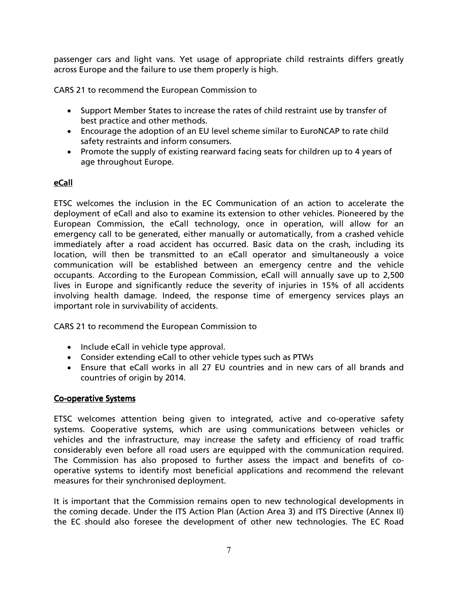passenger cars and light vans. Yet usage of appropriate child restraints differs greatly across Europe and the failure to use them properly is high.

CARS 21 to recommend the European Commission to

- Support Member States to increase the rates of child restraint use by transfer of best practice and other methods.
- Encourage the adoption of an EU level scheme similar to EuroNCAP to rate child safety restraints and inform consumers.
- Promote the supply of existing rearward facing seats for children up to 4 years of age throughout Europe.

### eCall

ETSC welcomes the inclusion in the EC Communication of an action to accelerate the deployment of eCall and also to examine its extension to other vehicles. Pioneered by the European Commission, the eCall technology, once in operation, will allow for an emergency call to be generated, either manually or automatically, from a crashed vehicle immediately after a road accident has occurred. Basic data on the crash, including its location, will then be transmitted to an eCall operator and simultaneously a voice communication will be established between an emergency centre and the vehicle occupants. According to the European Commission, eCall will annually save up to 2,500 lives in Europe and significantly reduce the severity of injuries in 15% of all accidents involving health damage. Indeed, the response time of emergency services plays an important role in survivability of accidents.

CARS 21 to recommend the European Commission to

- Include eCall in vehicle type approval.
- Consider extending eCall to other vehicle types such as PTWs
- Ensure that eCall works in all 27 EU countries and in new cars of all brands and countries of origin by 2014.

#### Co-operative Systems

ETSC welcomes attention being given to integrated, active and co-operative safety systems. Cooperative systems, which are using communications between vehicles or vehicles and the infrastructure, may increase the safety and efficiency of road traffic considerably even before all road users are equipped with the communication required. The Commission has also proposed to further assess the impact and benefits of cooperative systems to identify most beneficial applications and recommend the relevant measures for their synchronised deployment.

It is important that the Commission remains open to new technological developments in the coming decade. Under the ITS Action Plan (Action Area 3) and ITS Directive (Annex II) the EC should also foresee the development of other new technologies. The EC Road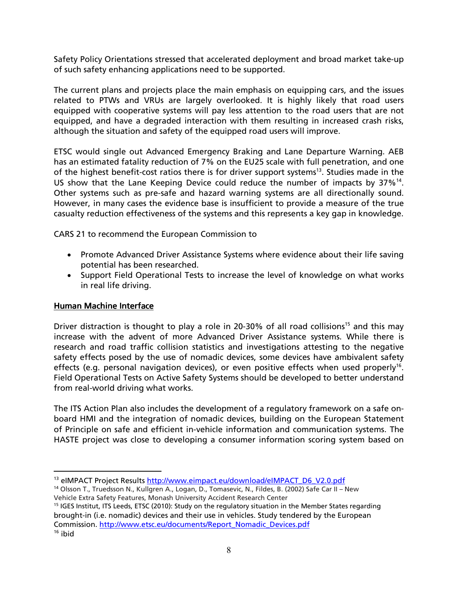Safety Policy Orientations stressed that accelerated deployment and broad market take-up of such safety enhancing applications need to be supported.

The current plans and projects place the main emphasis on equipping cars, and the issues related to PTWs and VRUs are largely overlooked. It is highly likely that road users equipped with cooperative systems will pay less attention to the road users that are not equipped, and have a degraded interaction with them resulting in increased crash risks, although the situation and safety of the equipped road users will improve.

ETSC would single out Advanced Emergency Braking and Lane Departure Warning. AEB has an estimated fatality reduction of 7% on the EU25 scale with full penetration, and one of the highest benefit-cost ratios there is for driver support systems<sup>13</sup>. Studies made in the US show that the Lane Keeping Device could reduce the number of impacts by 37%<sup>14</sup>. Other systems such as pre-safe and hazard warning systems are all directionally sound. However, in many cases the evidence base is insufficient to provide a measure of the true casualty reduction effectiveness of the systems and this represents a key gap in knowledge.

CARS 21 to recommend the European Commission to

- Promote Advanced Driver Assistance Systems where evidence about their life saving potential has been researched.
- Support Field Operational Tests to increase the level of knowledge on what works in real life driving.

#### Human Machine Interface

-

Driver distraction is thought to play a role in 20-30% of all road collisions<sup>15</sup> and this may increase with the advent of more Advanced Driver Assistance systems. While there is research and road traffic collision statistics and investigations attesting to the negative safety effects posed by the use of nomadic devices, some devices have ambivalent safety effects (e.g. personal navigation devices), or even positive effects when used properly<sup>16</sup>. Field Operational Tests on Active Safety Systems should be developed to better understand from real-world driving what works.

The ITS Action Plan also includes the development of a regulatory framework on a safe onboard HMI and the integration of nomadic devices, building on the European Statement of Principle on safe and efficient in-vehicle information and communication systems. The HASTE project was close to developing a consumer information scoring system based on

<sup>&</sup>lt;sup>13</sup> eIMPACT Project Results http://www.eimpact.eu/download/eIMPACT\_D6\_V2.0.pdf

<sup>14</sup> Olsson T., Truedsson N., Kullgren A., Logan, D., Tomasevic, N., Fildes, B. (2002) Safe Car II – New Vehicle Extra Safety Features, Monash University Accident Research Center

<sup>&</sup>lt;sup>15</sup> IGES Institut, ITS Leeds, ETSC (2010): Study on the regulatory situation in the Member States regarding brought-in (i.e. nomadic) devices and their use in vehicles. Study tendered by the European Commission. http://www.etsc.eu/documents/Report\_Nomadic\_Devices.pdf  $16$  ibid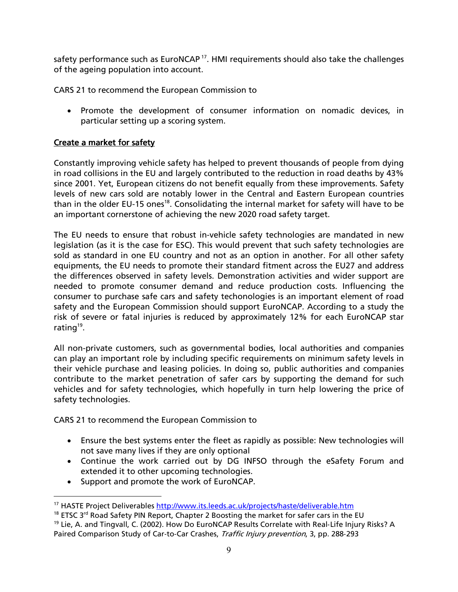safety performance such as EuroNCAP<sup>17</sup>. HMI requirements should also take the challenges of the ageing population into account.

CARS 21 to recommend the European Commission to

• Promote the development of consumer information on nomadic devices, in particular setting up a scoring system.

## Create a market for safety

Constantly improving vehicle safety has helped to prevent thousands of people from dying in road collisions in the EU and largely contributed to the reduction in road deaths by 43% since 2001. Yet, European citizens do not benefit equally from these improvements. Safety levels of new cars sold are notably lower in the Central and Eastern European countries than in the older EU-15 ones<sup>18</sup>. Consolidating the internal market for safety will have to be an important cornerstone of achieving the new 2020 road safety target.

The EU needs to ensure that robust in-vehicle safety technologies are mandated in new legislation (as it is the case for ESC). This would prevent that such safety technologies are sold as standard in one EU country and not as an option in another. For all other safety equipments, the EU needs to promote their standard fitment across the EU27 and address the differences observed in safety levels. Demonstration activities and wider support are needed to promote consumer demand and reduce production costs. Influencing the consumer to purchase safe cars and safety techonologies is an important element of road safety and the European Commission should support EuroNCAP. According to a study the risk of severe or fatal injuries is reduced by approximately 12% for each EuroNCAP star rating<sup>19</sup>.

All non-private customers, such as governmental bodies, local authorities and companies can play an important role by including specific requirements on minimum safety levels in their vehicle purchase and leasing policies. In doing so, public authorities and companies contribute to the market penetration of safer cars by supporting the demand for such vehicles and for safety technologies, which hopefully in turn help lowering the price of safety technologies.

CARS 21 to recommend the European Commission to

- Ensure the best systems enter the fleet as rapidly as possible: New technologies will not save many lives if they are only optional
- Continue the work carried out by DG INFSO through the eSafety Forum and extended it to other upcoming technologies.
- Support and promote the work of EuroNCAP.

-

<sup>&</sup>lt;sup>17</sup> HASTE Project Deliverables http://www.its.leeds.ac.uk/projects/haste/deliverable.htm

 $18$  ETSC 3<sup>rd</sup> Road Safety PIN Report, Chapter 2 Boosting the market for safer cars in the EU <sup>19</sup> Lie, A. and Tingvall, C. (2002). How Do EuroNCAP Results Correlate with Real-Life Injury Risks? A Paired Comparison Study of Car‐to‐Car Crashes, Traffic Injury prevention, 3, pp. 288‐293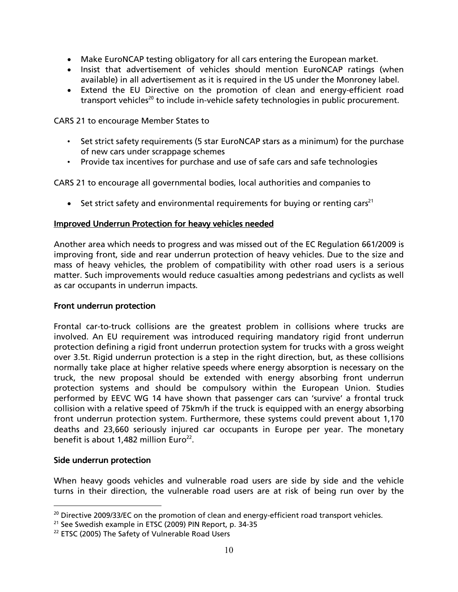- Make EuroNCAP testing obligatory for all cars entering the European market.
- Insist that advertisement of vehicles should mention EuroNCAP ratings (when available) in all advertisement as it is required in the US under the Monroney label.
- Extend the EU Directive on the promotion of clean and energy-efficient road transport vehicles<sup>20</sup> to include in-vehicle safety technologies in public procurement.

CARS 21 to encourage Member States to

- Set strict safety requirements (5 star EuroNCAP stars as a minimum) for the purchase of new cars under scrappage schemes
- Provide tax incentives for purchase and use of safe cars and safe technologies

CARS 21 to encourage all governmental bodies, local authorities and companies to

• Set strict safety and environmental requirements for buying or renting cars<sup>21</sup>

### Improved Underrun Protection for heavy vehicles needed

Another area which needs to progress and was missed out of the EC Regulation 661/2009 is improving front, side and rear underrun protection of heavy vehicles. Due to the size and mass of heavy vehicles, the problem of compatibility with other road users is a serious matter. Such improvements would reduce casualties among pedestrians and cyclists as well as car occupants in underrun impacts.

#### Front underrun protection

Frontal car-to-truck collisions are the greatest problem in collisions where trucks are involved. An EU requirement was introduced requiring mandatory rigid front underrun protection defining a rigid front underrun protection system for trucks with a gross weight over 3.5t. Rigid underrun protection is a step in the right direction, but, as these collisions normally take place at higher relative speeds where energy absorption is necessary on the truck, the new proposal should be extended with energy absorbing front underrun protection systems and should be compulsory within the European Union. Studies performed by EEVC WG 14 have shown that passenger cars can 'survive' a frontal truck collision with a relative speed of 75km/h if the truck is equipped with an energy absorbing front underrun protection system. Furthermore, these systems could prevent about 1,170 deaths and 23,660 seriously injured car occupants in Europe per year. The monetary benefit is about  $1,482$  million Euro<sup>22</sup>.

#### Side underrun protection

<u>.</u>

When heavy goods vehicles and vulnerable road users are side by side and the vehicle turns in their direction, the vulnerable road users are at risk of being run over by the

<sup>&</sup>lt;sup>20</sup> Directive 2009/33/EC on the promotion of clean and energy-efficient road transport vehicles.

<sup>&</sup>lt;sup>21</sup> See Swedish example in ETSC (2009) PIN Report, p. 34-35

<sup>&</sup>lt;sup>22</sup> ETSC (2005) The Safety of Vulnerable Road Users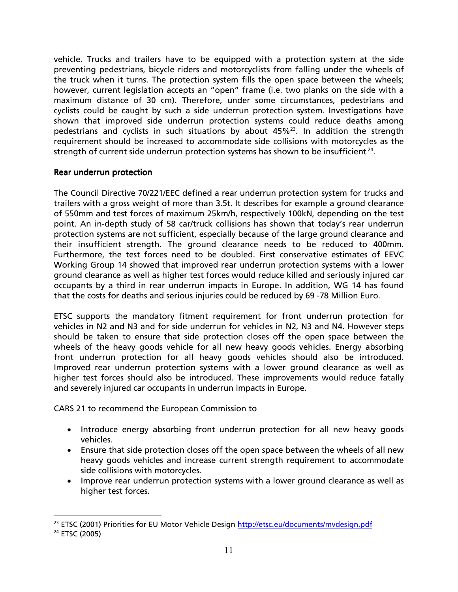vehicle. Trucks and trailers have to be equipped with a protection system at the side preventing pedestrians, bicycle riders and motorcyclists from falling under the wheels of the truck when it turns. The protection system fills the open space between the wheels; however, current legislation accepts an "open" frame (i.e. two planks on the side with a maximum distance of 30 cm). Therefore, under some circumstances, pedestrians and cyclists could be caught by such a side underrun protection system. Investigations have shown that improved side underrun protection systems could reduce deaths among pedestrians and cyclists in such situations by about  $45\%^{23}$ . In addition the strength requirement should be increased to accommodate side collisions with motorcycles as the strength of current side underrun protection systems has shown to be insufficient<sup>24</sup>.

# Rear underrun protection

-

The Council Directive 70/221/EEC defined a rear underrun protection system for trucks and trailers with a gross weight of more than 3.5t. It describes for example a ground clearance of 550mm and test forces of maximum 25km/h, respectively 100kN, depending on the test point. An in-depth study of 58 car/truck collisions has shown that today's rear underrun protection systems are not sufficient, especially because of the large ground clearance and their insufficient strength. The ground clearance needs to be reduced to 400mm. Furthermore, the test forces need to be doubled. First conservative estimates of EEVC Working Group 14 showed that improved rear underrun protection systems with a lower ground clearance as well as higher test forces would reduce killed and seriously injured car occupants by a third in rear underrun impacts in Europe. In addition, WG 14 has found that the costs for deaths and serious injuries could be reduced by 69 -78 Million Euro.

ETSC supports the mandatory fitment requirement for front underrun protection for vehicles in N2 and N3 and for side underrun for vehicles in N2, N3 and N4. However steps should be taken to ensure that side protection closes off the open space between the wheels of the heavy goods vehicle for all new heavy goods vehicles. Energy absorbing front underrun protection for all heavy goods vehicles should also be introduced. Improved rear underrun protection systems with a lower ground clearance as well as higher test forces should also be introduced. These improvements would reduce fatally and severely injured car occupants in underrun impacts in Europe.

CARS 21 to recommend the European Commission to

- Introduce energy absorbing front underrun protection for all new heavy goods vehicles.
- Ensure that side protection closes off the open space between the wheels of all new heavy goods vehicles and increase current strength requirement to accommodate side collisions with motorcycles.
- Improve rear underrun protection systems with a lower ground clearance as well as higher test forces.

<sup>&</sup>lt;sup>23</sup> ETSC (2001) Priorities for EU Motor Vehicle Design http://etsc.eu/documents/mydesign.pdf 24 ETSC (2005)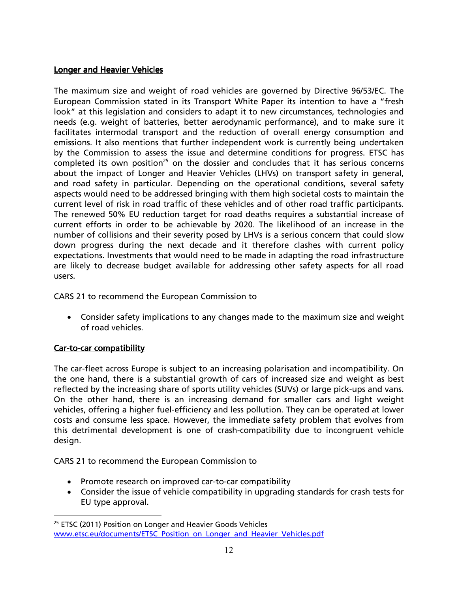# Longer and Heavier Vehicles

The maximum size and weight of road vehicles are governed by Directive 96/53/EC. The European Commission stated in its Transport White Paper its intention to have a "fresh look" at this legislation and considers to adapt it to new circumstances, technologies and needs (e.g. weight of batteries, better aerodynamic performance), and to make sure it facilitates intermodal transport and the reduction of overall energy consumption and emissions. It also mentions that further independent work is currently being undertaken by the Commission to assess the issue and determine conditions for progress. ETSC has completed its own position<sup>25</sup> on the dossier and concludes that it has serious concerns about the impact of Longer and Heavier Vehicles (LHVs) on transport safety in general, and road safety in particular. Depending on the operational conditions, several safety aspects would need to be addressed bringing with them high societal costs to maintain the current level of risk in road traffic of these vehicles and of other road traffic participants. The renewed 50% EU reduction target for road deaths requires a substantial increase of current efforts in order to be achievable by 2020. The likelihood of an increase in the number of collisions and their severity posed by LHVs is a serious concern that could slow down progress during the next decade and it therefore clashes with current policy expectations. Investments that would need to be made in adapting the road infrastructure are likely to decrease budget available for addressing other safety aspects for all road users.

CARS 21 to recommend the European Commission to

• Consider safety implications to any changes made to the maximum size and weight of road vehicles.

### Car-to-car compatibility

-

The car-fleet across Europe is subject to an increasing polarisation and incompatibility. On the one hand, there is a substantial growth of cars of increased size and weight as best reflected by the increasing share of sports utility vehicles (SUVs) or large pick-ups and vans. On the other hand, there is an increasing demand for smaller cars and light weight vehicles, offering a higher fuel-efficiency and less pollution. They can be operated at lower costs and consume less space. However, the immediate safety problem that evolves from this detrimental development is one of crash-compatibility due to incongruent vehicle design.

CARS 21 to recommend the European Commission to

- Promote research on improved car-to-car compatibility
- Consider the issue of vehicle compatibility in upgrading standards for crash tests for EU type approval.

<sup>&</sup>lt;sup>25</sup> ETSC (2011) Position on Longer and Heavier Goods Vehicles www.etsc.eu/documents/ETSC\_Position\_on\_Longer\_and\_Heavier\_Vehicles.pdf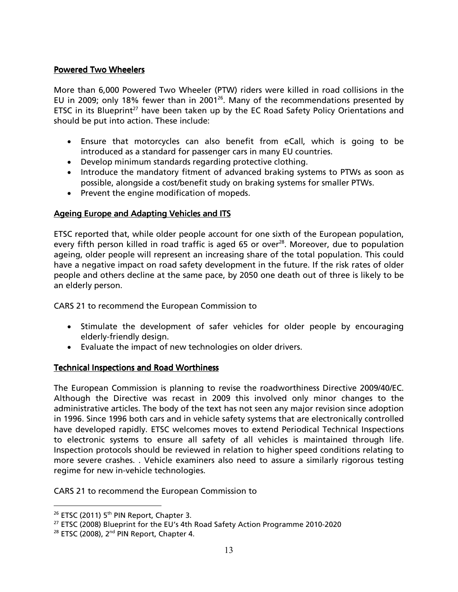### Powered Two Wheelers

More than 6,000 Powered Two Wheeler (PTW) riders were killed in road collisions in the EU in 2009; only 18% fewer than in 2001<sup>26</sup>. Many of the recommendations presented by ETSC in its Blueprint<sup>27</sup> have been taken up by the EC Road Safety Policy Orientations and should be put into action. These include:

- Ensure that motorcycles can also benefit from eCall, which is going to be introduced as a standard for passenger cars in many EU countries.
- Develop minimum standards regarding protective clothing.
- Introduce the mandatory fitment of advanced braking systems to PTWs as soon as possible, alongside a cost/benefit study on braking systems for smaller PTWs.
- Prevent the engine modification of mopeds.

# Ageing Europe and Adapting Vehicles and ITS

ETSC reported that, while older people account for one sixth of the European population, every fifth person killed in road traffic is aged 65 or over<sup>28</sup>. Moreover, due to population ageing, older people will represent an increasing share of the total population. This could have a negative impact on road safety development in the future. If the risk rates of older people and others decline at the same pace, by 2050 one death out of three is likely to be an elderly person.

CARS 21 to recommend the European Commission to

- Stimulate the development of safer vehicles for older people by encouraging elderly-friendly design.
- Evaluate the impact of new technologies on older drivers.

### Technical Inspections and Road Worthiness

The European Commission is planning to revise the roadworthiness Directive 2009/40/EC. Although the Directive was recast in 2009 this involved only minor changes to the administrative articles. The body of the text has not seen any major revision since adoption in 1996. Since 1996 both cars and in vehicle safety systems that are electronically controlled have developed rapidly. ETSC welcomes moves to extend Periodical Technical Inspections to electronic systems to ensure all safety of all vehicles is maintained through life. Inspection protocols should be reviewed in relation to higher speed conditions relating to more severe crashes. . Vehicle examiners also need to assure a similarly rigorous testing regime for new in-vehicle technologies.

CARS 21 to recommend the European Commission to

<u>.</u>

 $26$  ETSC (2011) 5<sup>th</sup> PIN Report, Chapter 3.

 $27$  ETSC (2008) Blueprint for the EU's 4th Road Safety Action Programme 2010-2020

 $28$  ETSC (2008),  $2<sup>nd</sup>$  PIN Report, Chapter 4.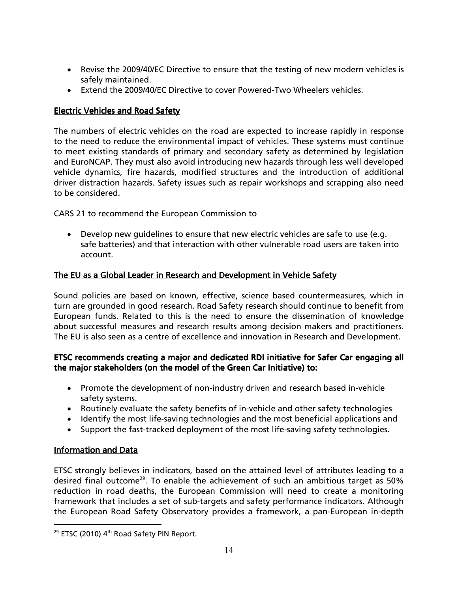- Revise the 2009/40/EC Directive to ensure that the testing of new modern vehicles is safely maintained.
- Extend the 2009/40/EC Directive to cover Powered-Two Wheelers vehicles.

# Electric Vehicles and Road Safety

The numbers of electric vehicles on the road are expected to increase rapidly in response to the need to reduce the environmental impact of vehicles. These systems must continue to meet existing standards of primary and secondary safety as determined by legislation and EuroNCAP. They must also avoid introducing new hazards through less well developed vehicle dynamics, fire hazards, modified structures and the introduction of additional driver distraction hazards. Safety issues such as repair workshops and scrapping also need to be considered.

CARS 21 to recommend the European Commission to

• Develop new guidelines to ensure that new electric vehicles are safe to use (e.g. safe batteries) and that interaction with other vulnerable road users are taken into account.

# The EU as a Global Leader in Research and Development in Vehicle Safety

Sound policies are based on known, effective, science based countermeasures, which in turn are grounded in good research. Road Safety research should continue to benefit from European funds. Related to this is the need to ensure the dissemination of knowledge about successful measures and research results among decision makers and practitioners. The EU is also seen as a centre of excellence and innovation in Research and Development.

### ETSC recommends creating a major and dedicated RDI initiative for Safer Car engaging all the major stakeholders (on the model of the Green Car Initiative) to:

- Promote the development of non-industry driven and research based in-vehicle safety systems.
- Routinely evaluate the safety benefits of in-vehicle and other safety technologies
- Identify the most life-saving technologies and the most beneficial applications and
- Support the fast-tracked deployment of the most life-saving safety technologies.

### Information and Data

-

ETSC strongly believes in indicators, based on the attained level of attributes leading to a desired final outcome<sup>29</sup>. To enable the achievement of such an ambitious target as 50% reduction in road deaths, the European Commission will need to create a monitoring framework that includes a set of sub-targets and safety performance indicators. Although the European Road Safety Observatory provides a framework, a pan-European in-depth

 $29$  ETSC (2010) 4<sup>th</sup> Road Safety PIN Report.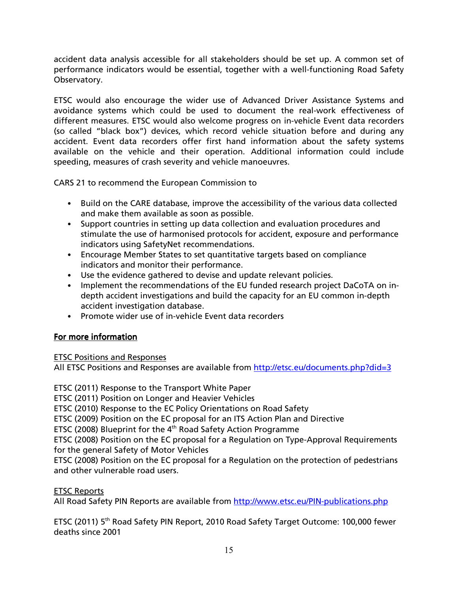accident data analysis accessible for all stakeholders should be set up. A common set of performance indicators would be essential, together with a well-functioning Road Safety Observatory.

ETSC would also encourage the wider use of Advanced Driver Assistance Systems and avoidance systems which could be used to document the real-work effectiveness of different measures. ETSC would also welcome progress on in-vehicle Event data recorders (so called "black box") devices, which record vehicle situation before and during any accident. Event data recorders offer first hand information about the safety systems available on the vehicle and their operation. Additional information could include speeding, measures of crash severity and vehicle manoeuvres.

CARS 21 to recommend the European Commission to

- Build on the CARE database, improve the accessibility of the various data collected and make them available as soon as possible.
- Support countries in setting up data collection and evaluation procedures and stimulate the use of harmonised protocols for accident, exposure and performance indicators using SafetyNet recommendations.
- Encourage Member States to set quantitative targets based on compliance indicators and monitor their performance.
- Use the evidence gathered to devise and update relevant policies.
- Implement the recommendations of the EU funded research project DaCoTA on indepth accident investigations and build the capacity for an EU common in-depth accident investigation database.
- Promote wider use of in-vehicle Event data recorders

# For more information

# ETSC Positions and Responses

All ETSC Positions and Responses are available from http://etsc.eu/documents.php?did=3

ETSC (2011) Response to the Transport White Paper

ETSC (2011) Position on Longer and Heavier Vehicles

ETSC (2010) Response to the EC Policy Orientations on Road Safety

ETSC (2009) Position on the EC proposal for an ITS Action Plan and Directive

ETSC (2008) Blueprint for the  $4<sup>th</sup>$  Road Safety Action Programme

ETSC (2008) Position on the EC proposal for a Regulation on Type-Approval Requirements for the general Safety of Motor Vehicles

ETSC (2008) Position on the EC proposal for a Regulation on the protection of pedestrians and other vulnerable road users.

# ETSC Reports

All Road Safety PIN Reports are available from http://www.etsc.eu/PIN-publications.php

ETSC (2011) 5th Road Safety PIN Report, 2010 Road Safety Target Outcome: 100,000 fewer deaths since 2001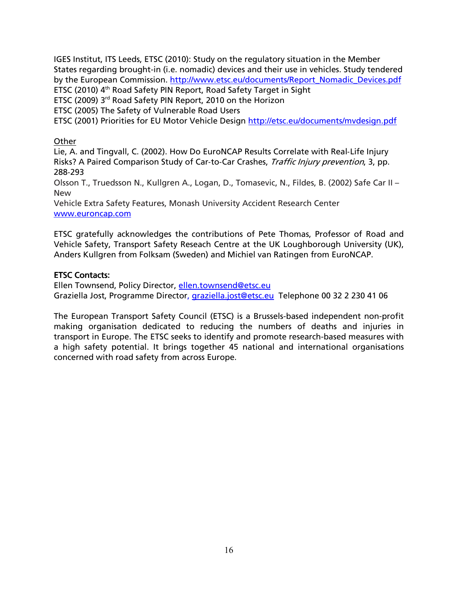IGES Institut, ITS Leeds, ETSC (2010): Study on the regulatory situation in the Member States regarding brought-in (i.e. nomadic) devices and their use in vehicles. Study tendered by the European Commission. http://www.etsc.eu/documents/Report\_Nomadic\_Devices.pdf ETSC (2010) 4<sup>th</sup> Road Safety PIN Report, Road Safety Target in Sight ETSC (2009) 3rd Road Safety PIN Report, 2010 on the Horizon ETSC (2005) The Safety of Vulnerable Road Users ETSC (2001) Priorities for EU Motor Vehicle Design http://etsc.eu/documents/mvdesign.pdf

**Other** 

Lie, A. and Tingvall, C. (2002). How Do EuroNCAP Results Correlate with Real‐Life Injury Risks? A Paired Comparison Study of Car-to-Car Crashes, Traffic Injury prevention, 3, pp. 288‐293

Olsson T., Truedsson N., Kullgren A., Logan, D., Tomasevic, N., Fildes, B. (2002) Safe Car II – New

Vehicle Extra Safety Features, Monash University Accident Research Center www.euroncap.com

ETSC gratefully acknowledges the contributions of Pete Thomas, Professor of Road and Vehicle Safety, Transport Safety Reseach Centre at the UK Loughborough University (UK), Anders Kullgren from Folksam (Sweden) and Michiel van Ratingen from EuroNCAP.

### **ETSC Contacts:**

Ellen Townsend, Policy Director, ellen.townsend@etsc.eu Graziella Jost, Programme Director, graziella.jost@etsc.eu Telephone 00 32 2 230 41 06

The European Transport Safety Council (ETSC) is a Brussels-based independent non-profit making organisation dedicated to reducing the numbers of deaths and injuries in transport in Europe. The ETSC seeks to identify and promote research-based measures with a high safety potential. It brings together 45 national and international organisations concerned with road safety from across Europe.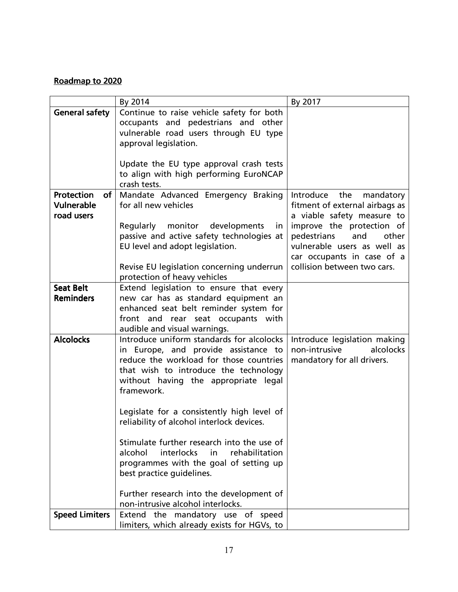# Roadmap to 2020

|                                                     | By 2014                                                                                                                                                                                                                                                                                                                                                                                                               | By 2017                                                                                                                                                                                                                                               |
|-----------------------------------------------------|-----------------------------------------------------------------------------------------------------------------------------------------------------------------------------------------------------------------------------------------------------------------------------------------------------------------------------------------------------------------------------------------------------------------------|-------------------------------------------------------------------------------------------------------------------------------------------------------------------------------------------------------------------------------------------------------|
| <b>General safety</b>                               | Continue to raise vehicle safety for both<br>occupants and pedestrians and other<br>vulnerable road users through EU type<br>approval legislation.                                                                                                                                                                                                                                                                    |                                                                                                                                                                                                                                                       |
|                                                     | Update the EU type approval crash tests<br>to align with high performing EuroNCAP<br>crash tests.                                                                                                                                                                                                                                                                                                                     |                                                                                                                                                                                                                                                       |
| <b>Protection</b><br>оf<br>Vulnerable<br>road users | Mandate Advanced Emergency Braking<br>for all new vehicles<br>Regularly<br>monitor developments<br>in<br>passive and active safety technologies at<br>EU level and adopt legislation.<br>Revise EU legislation concerning underrun<br>protection of heavy vehicles                                                                                                                                                    | Introduce<br>the<br>mandatory<br>fitment of external airbags as<br>a viable safety measure to<br>improve the protection of<br>pedestrians<br>and<br>other<br>vulnerable users as well as<br>car occupants in case of a<br>collision between two cars. |
| <b>Seat Belt</b><br><b>Reminders</b>                | Extend legislation to ensure that every<br>new car has as standard equipment an<br>enhanced seat belt reminder system for<br>front and rear seat occupants with<br>audible and visual warnings.                                                                                                                                                                                                                       |                                                                                                                                                                                                                                                       |
| <b>Alcolocks</b>                                    | Introduce uniform standards for alcolocks<br>in Europe, and provide assistance to<br>reduce the workload for those countries<br>that wish to introduce the technology<br>without having the appropriate legal<br>framework.<br>Legislate for a consistently high level of<br>reliability of alcohol interlock devices.<br>Stimulate further research into the use of<br>alcohol<br>interlocks<br>rehabilitation<br>in | Introduce legislation making<br>non-intrusive<br>alcolocks<br>mandatory for all drivers.                                                                                                                                                              |
|                                                     | programmes with the goal of setting up<br>best practice quidelines.<br>Further research into the development of<br>non-intrusive alcohol interlocks.                                                                                                                                                                                                                                                                  |                                                                                                                                                                                                                                                       |
| <b>Speed Limiters</b>                               | Extend the mandatory use of speed<br>limiters, which already exists for HGVs, to                                                                                                                                                                                                                                                                                                                                      |                                                                                                                                                                                                                                                       |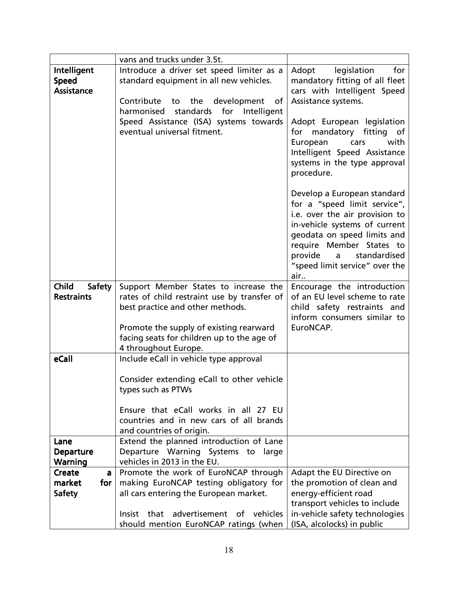|                               | vans and trucks under 3.5t.                 |                                                        |
|-------------------------------|---------------------------------------------|--------------------------------------------------------|
| Intelligent                   | Introduce a driver set speed limiter as a   | legislation<br>Adopt<br>for                            |
| <b>Speed</b>                  | standard equipment in all new vehicles.     | mandatory fitting of all fleet                         |
| <b>Assistance</b>             |                                             | cars with Intelligent Speed                            |
|                               | Contribute to the development<br>of         | Assistance systems.                                    |
|                               | harmonised standards for Intelligent        |                                                        |
|                               | Speed Assistance (ISA) systems towards      | Adopt European legislation                             |
|                               | eventual universal fitment.                 | for mandatory fitting of                               |
|                               |                                             | with<br>European<br>cars                               |
|                               |                                             | Intelligent Speed Assistance                           |
|                               |                                             | systems in the type approval                           |
|                               |                                             | procedure.                                             |
|                               |                                             |                                                        |
|                               |                                             | Develop a European standard                            |
|                               |                                             | for a "speed limit service",                           |
|                               |                                             | i.e. over the air provision to                         |
|                               |                                             | in-vehicle systems of current                          |
|                               |                                             | geodata on speed limits and                            |
|                               |                                             | require Member States to                               |
|                               |                                             | provide<br>standardised<br>a a                         |
|                               |                                             | "speed limit service" over the<br>air                  |
| <b>Child</b><br><b>Safety</b> | Support Member States to increase the       | Encourage the introduction                             |
| <b>Restraints</b>             | rates of child restraint use by transfer of | of an EU level scheme to rate                          |
|                               | best practice and other methods.            | child safety restraints and                            |
|                               |                                             | inform consumers similar to                            |
|                               | Promote the supply of existing rearward     | EuroNCAP.                                              |
|                               | facing seats for children up to the age of  |                                                        |
|                               | 4 throughout Europe.                        |                                                        |
| eCall                         | Include eCall in vehicle type approval      |                                                        |
|                               |                                             |                                                        |
|                               | Consider extending eCall to other vehicle   |                                                        |
|                               | types such as PTWs                          |                                                        |
|                               |                                             |                                                        |
|                               | Ensure that eCall works in all 27 EU        |                                                        |
|                               | countries and in new cars of all brands     |                                                        |
|                               | and countries of origin.                    |                                                        |
| Lane                          | Extend the planned introduction of Lane     |                                                        |
| Departure                     | Departure Warning Systems to large          |                                                        |
| Warning                       | vehicles in 2013 in the EU.                 |                                                        |
| <b>Create</b><br>a            | Promote the work of EuroNCAP through        | Adapt the EU Directive on                              |
| market<br>for                 | making EuroNCAP testing obligatory for      | the promotion of clean and                             |
| <b>Safety</b>                 | all cars entering the European market.      | energy-efficient road<br>transport vehicles to include |
|                               | advertisement of vehicles<br>Insist that    | in-vehicle safety technologies                         |
|                               |                                             |                                                        |
|                               | should mention EuroNCAP ratings (when       | (ISA, alcolocks) in public                             |